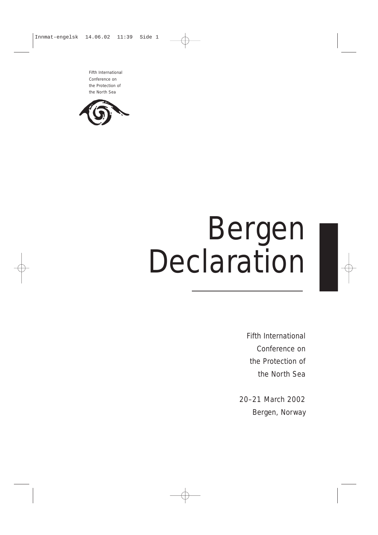Fifth International Conference on the Protection of the North Sea



# Bergen Declaration

Fifth International Conference on the Protection of the North Sea

20–21 March 2002 Bergen, Norway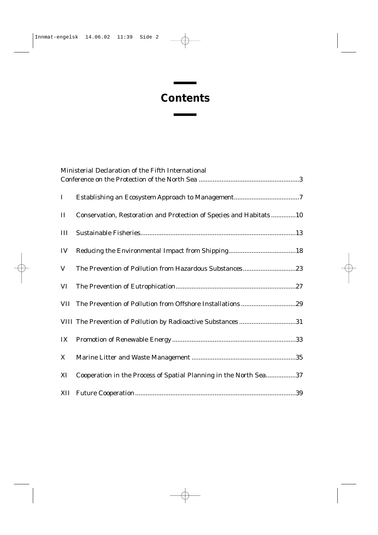### **Contents**

п

|          | Ministerial Declaration of the Fifth International                 |  |  |
|----------|--------------------------------------------------------------------|--|--|
|          |                                                                    |  |  |
| $\bf{I}$ |                                                                    |  |  |
| $\rm II$ | Conservation, Restoration and Protection of Species and Habitats10 |  |  |
| III      |                                                                    |  |  |
| IV       |                                                                    |  |  |
| $\bf V$  | The Prevention of Pollution from Hazardous Substances23            |  |  |
| VI       |                                                                    |  |  |
|          |                                                                    |  |  |
|          | VIII The Prevention of Pollution by Radioactive Substances 31      |  |  |
| IX       |                                                                    |  |  |
| X        |                                                                    |  |  |
| XI       | Cooperation in the Process of Spatial Planning in the North Sea37  |  |  |
|          |                                                                    |  |  |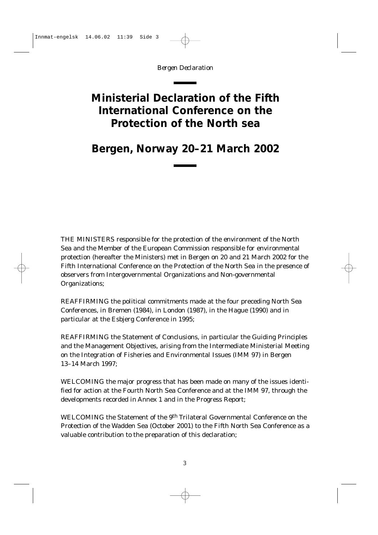### <span id="page-2-0"></span>**Ministerial Declaration of the Fifth International Conference on the Protection of the North sea**

### **Bergen, Norway 20–21 March 2002**

THE MINISTERS responsible for the protection of the environment of the North Sea and the Member of the European Commission responsible for environmental protection (hereafter the Ministers) met in Bergen on 20 and 21 March 2002 for the Fifth International Conference on the Protection of the North Sea in the presence of observers from Intergovernmental Organizations and Non-governmental Organizations;

REAFFIRMING the political commitments made at the four preceding North Sea Conferences, in Bremen (1984), in London (1987), in the Hague (1990) and in particular at the Esbjerg Conference in 1995;

REAFFIRMING the Statement of Conclusions, in particular the Guiding Principles and the Management Objectives, arising from the Intermediate Ministerial Meeting on the Integration of Fisheries and Environmental Issues (IMM 97) in Bergen 13–14 March 1997;

WELCOMING the major progress that has been made on many of the issues identified for action at the Fourth North Sea Conference and at the IMM 97, through the developments recorded in Annex 1 and in the Progress Report;

WELCOMING the Statement of the 9th Trilateral Governmental Conference on the Protection of the Wadden Sea (October 2001) to the Fifth North Sea Conference as a valuable contribution to the preparation of this declaration;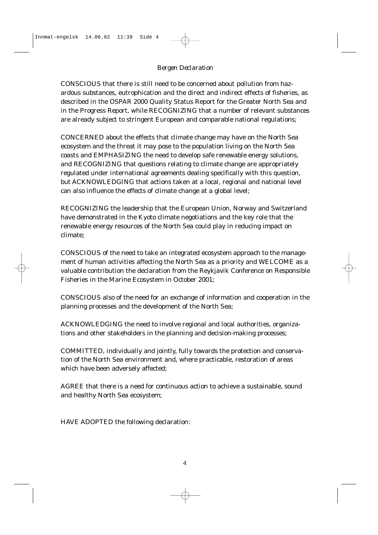CONSCIOUS that there is still need to be concerned about pollution from hazardous substances, eutrophication and the direct and indirect effects of fisheries, as described in the OSPAR 2000 Quality Status Report for the Greater North Sea and in the Progress Report, while RECOGNIZING that a number of relevant substances are already subject to stringent European and comparable national regulations;

CONCERNED about the effects that climate change may have on the North Sea ecosystem and the threat it may pose to the population living on the North Sea coasts and EMPHASIZING the need to develop safe renewable energy solutions, and RECOGNIZING that questions relating to climate change are appropriately regulated under international agreements dealing specifically with this question, but ACKNOWLEDGING that actions taken at a local, regional and national level can also influence the effects of climate change at a global level;

RECOGNIZING the leadership that the European Union, Norway and Switzerland have demonstrated in the Kyoto climate negotiations and the key role that the renewable energy resources of the North Sea could play in reducing impact on climate;

CONSCIOUS of the need to take an integrated ecosystem approach to the management of human activities affecting the North Sea as a priority and WELCOME as a valuable contribution the declaration from the Reykjavik Conference on Responsible Fisheries in the Marine Ecosystem in October 2001;

CONSCIOUS also of the need for an exchange of information and cooperation in the planning processes and the development of the North Sea;

ACKNOWLEDGING the need to involve regional and local authorities, organizations and other stakeholders in the planning and decision-making processes;

COMMITTED, individually and jointly, fully towards the protection and conservation of the North Sea environment and, where practicable, restoration of areas which have been adversely affected;

AGREE that there is a need for continuous action to achieve a sustainable, sound and healthy North Sea ecosystem;

HAVE ADOPTED the following declaration: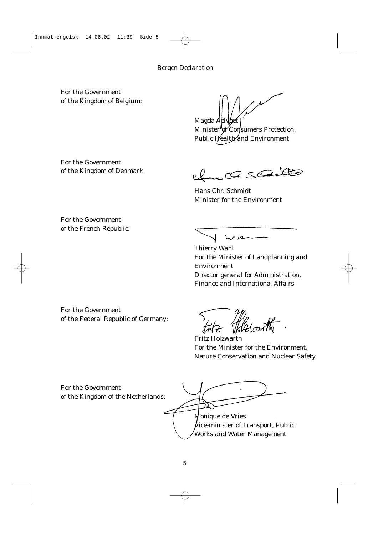For the Government of the Kingdom of Belgium:

Magda Aelv

Minister of Consumers Protection, Public Health and Environment

For the Government of the Kingdom of Denmark:

Hen C. Solle

Hans Chr. Schmidt Minister for the Environment

For the Government of the French Republic:

 $\sqrt{wrn}$ 

Thierry Wahl For the Minister of Landplanning and Environment Director general for Administration, Finance and International Affairs

For the Government of the Federal Republic of Germany:

Fritz Holzwarth For the Minister for the Environment, Nature Conservation and Nuclear Safety

For the Government of the Kingdom of the Netherlands:

Monique de Vries Vice-minister of Transport, Public Works and Water Management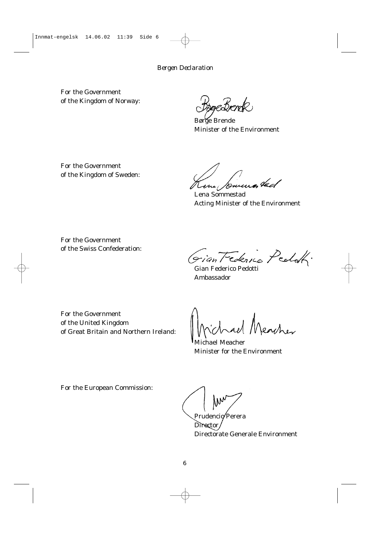For the Government of the Kingdom of Norway:

gesperk

Børge Brende Minister of the Environment

For the Government of the Kingdom of Sweden:

Kene Journes tad

Lena Sommestad Acting Minister of the Environment

For the Government of the Swiss Confederation:

Giantederico Pedok.

Gian Federico Pedotti Ambassador

For the Government of the United Kingdom of Great Britain and Northern Ireland:

eacher

Michael Meacher Minister for the Environment

For the European Commission:

Prudencio Perera

Director. Directorate Generale Environment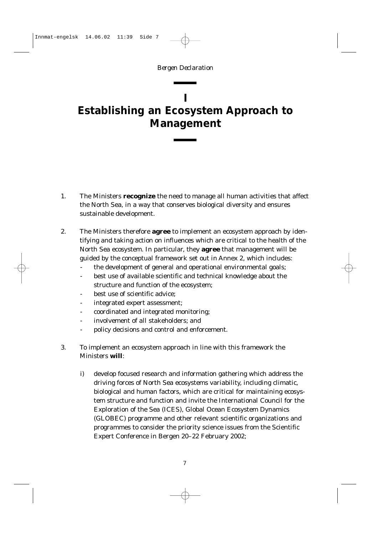### <span id="page-6-0"></span>**I Establishing an Ecosystem Approach to Management**

- 1. The Ministers **recognize** the need to manage all human activities that affect the North Sea, in a way that conserves biological diversity and ensures sustainable development.
- 2. The Ministers therefore **agree** to implement an ecosystem approach by identifying and taking action on influences which are critical to the health of the North Sea ecosystem. In particular, they **agree** that management will be guided by the conceptual framework set out in Annex 2, which includes:
	- the development of general and operational environmental goals;
	- best use of available scientific and technical knowledge about the structure and function of the ecosystem;
	- best use of scientific advice:
	- integrated expert assessment;
	- coordinated and integrated monitoring;
	- involvement of all stakeholders; and
	- policy decisions and control and enforcement.
- 3. To implement an ecosystem approach in line with this framework the Ministers **will**:
	- i) develop focused research and information gathering which address the driving forces of North Sea ecosystems variability, including climatic, biological and human factors, which are critical for maintaining ecosystem structure and function and invite the International Council for the Exploration of the Sea (ICES), Global Ocean Ecosystem Dynamics (GLOBEC) programme and other relevant scientific organizations and programmes to consider the priority science issues from the Scientific Expert Conference in Bergen 20–22 February 2002;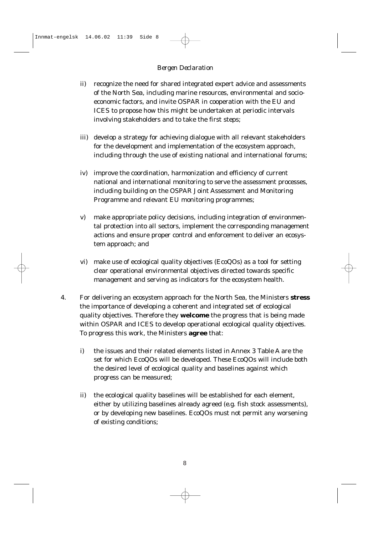- ii) recognize the need for shared integrated expert advice and assessments of the North Sea, including marine resources, environmental and socioeconomic factors, and invite OSPAR in cooperation with the EU and ICES to propose how this might be undertaken at periodic intervals involving stakeholders and to take the first steps;
- iii) develop a strategy for achieving dialogue with all relevant stakeholders for the development and implementation of the ecosystem approach, including through the use of existing national and international forums;
- iv) improve the coordination, harmonization and efficiency of current national and international monitoring to serve the assessment processes, including building on the OSPAR Joint Assessment and Monitoring Programme and relevant EU monitoring programmes;
- v) make appropriate policy decisions, including integration of environmental protection into all sectors, implement the corresponding management actions and ensure proper control and enforcement to deliver an ecosystem approach; and
- vi) make use of ecological quality objectives (EcoQOs) as a tool for setting clear operational environmental objectives directed towards specific management and serving as indicators for the ecosystem health.
- 4. For delivering an ecosystem approach for the North Sea, the Ministers **stress** the importance of developing a coherent and integrated set of ecological quality objectives. Therefore they **welcome** the progress that is being made within OSPAR and ICES to develop operational ecological quality objectives. To progress this work, the Ministers **agree** that:
	- i) the issues and their related elements listed in Annex 3 Table A are the set for which EcoQOs will be developed. These EcoQOs will include both the desired level of ecological quality and baselines against which progress can be measured;
	- ii) the ecological quality baselines will be established for each element, either by utilizing baselines already agreed (*e.g*. fish stock assessments), or by developing new baselines. EcoQOs must not permit any worsening of existing conditions;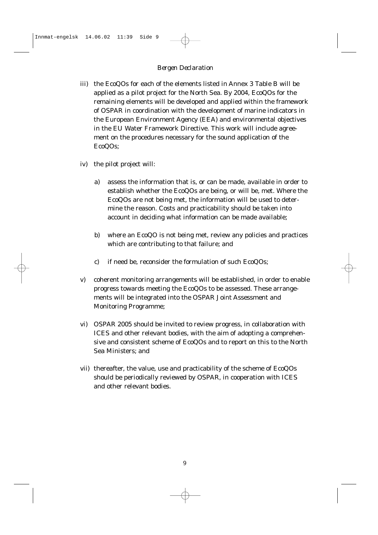- iii) the EcoQOs for each of the elements listed in Annex 3 Table B will be applied as a pilot project for the North Sea. By 2004, EcoQOs for the remaining elements will be developed and applied within the framework of OSPAR in coordination with the development of marine indicators in the European Environment Agency (EEA) and environmental objectives in the EU Water Framework Directive. This work will include agreement on the procedures necessary for the sound application of the EcoQOs;
- iv) the pilot project will:
	- a) assess the information that is, or can be made, available in order to establish whether the EcoQOs are being, or will be, met. Where the EcoQOs are not being met, the information will be used to determine the reason. Costs and practicability should be taken into account in deciding what information can be made available;
	- b) where an EcoQO is not being met, review any policies and practices which are contributing to that failure; and
	- c) if need be, reconsider the formulation of such EcoQOs;
- v) coherent monitoring arrangements will be established, in order to enable progress towards meeting the EcoQOs to be assessed. These arrangements will be integrated into the OSPAR Joint Assessment and Monitoring Programme;
- vi) OSPAR 2005 should be invited to review progress, in collaboration with ICES and other relevant bodies, with the aim of adopting a comprehensive and consistent scheme of EcoQOs and to report on this to the North Sea Ministers; and
- vii) thereafter, the value, use and practicability of the scheme of EcoQOs should be periodically reviewed by OSPAR, in cooperation with ICES and other relevant bodies.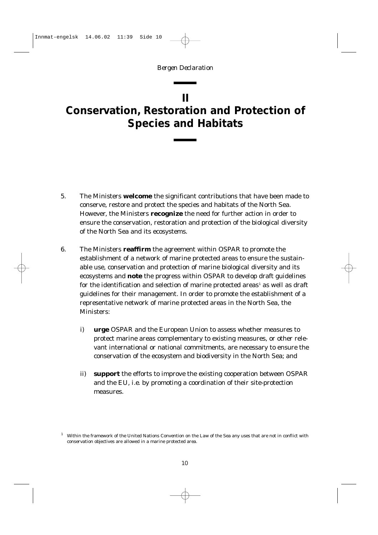### <span id="page-9-0"></span>**II Conservation, Restoration and Protection of Species and Habitats**

- 5. The Ministers **welcome** the significant contributions that have been made to conserve, restore and protect the species and habitats of the North Sea. However, the Ministers **recognize** the need for further action in order to ensure the conservation, restoration and protection of the biological diversity of the North Sea and its ecosystems.
- 6. The Ministers **reaffirm** the agreement within OSPAR to promote the establishment of a network of marine protected areas to ensure the sustainable use, conservation and protection of marine biological diversity and its ecosystems and **note** the progress within OSPAR to develop draft guidelines for the identification and selection of marine protected areas<sup>1</sup> as well as draft guidelines for their management. In order to promote the establishment of a representative network of marine protected areas in the North Sea, the Ministers:
	- i) **urge** OSPAR and the European Union to assess whether measures to protect marine areas complementary to existing measures, or other relevant international or national commitments, are necessary to ensure the conservation of the ecosystem and biodiversity in the North Sea; and
	- ii) **support** the efforts to improve the existing cooperation between OSPAR and the EU, *i.e*. by promoting a coordination of their site-protection measures.

<sup>1</sup> Within the framework of the United Nations Convention on the Law of the Sea any uses that are not in conflict with conservation objectives are allowed in a marine protected area.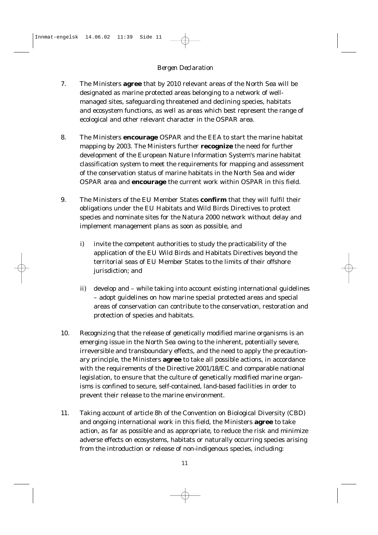- 7. The Ministers **agree** that by 2010 relevant areas of the North Sea will be designated as marine protected areas belonging to a network of wellmanaged sites, safeguarding threatened and declining species, habitats and ecosystem functions, as well as areas which best represent the range of ecological and other relevant character in the OSPAR area.
- 8. The Ministers **encourage** OSPAR and the EEA to start the marine habitat mapping by 2003. The Ministers further **recognize** the need for further development of the European Nature Information System's marine habitat classification system to meet the requirements for mapping and assessment of the conservation status of marine habitats in the North Sea and wider OSPAR area and **encourage** the current work within OSPAR in this field.
- 9. The Ministers of the EU Member States **confirm** that they will fulfil their obligations under the EU Habitats and Wild Birds Directives to protect species and nominate sites for the Natura 2000 network without delay and implement management plans as soon as possible, and
	- i) invite the competent authorities to study the practicability of the application of the EU Wild Birds and Habitats Directives beyond the territorial seas of EU Member States to the limits of their offshore jurisdiction; and
	- ii) develop and while taking into account existing international guidelines – adopt guidelines on how marine special protected areas and special areas of conservation can contribute to the conservation, restoration and protection of species and habitats.
- 10. Recognizing that the release of genetically modified marine organisms is an emerging issue in the North Sea owing to the inherent, potentially severe, irreversible and transboundary effects, and the need to apply the precautionary principle, the Ministers **agree** to take all possible actions, in accordance with the requirements of the Directive 2001/18/EC and comparable national legislation, to ensure that the culture of genetically modified marine organisms is confined to secure, self-contained, land-based facilities in order to prevent their release to the marine environment.
- 11. Taking account of article 8h of the Convention on Biological Diversity (CBD) and ongoing international work in this field, the Ministers **agree** to take action, as far as possible and as appropriate, to reduce the risk and minimize adverse effects on ecosystems, habitats or naturally occurring species arising from the introduction or release of non-indigenous species, including: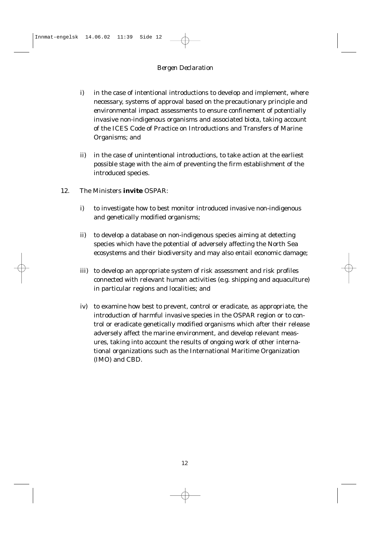- i) in the case of intentional introductions to develop and implement, where necessary, systems of approval based on the precautionary principle and environmental impact assessments to ensure confinement of potentially invasive non-indigenous organisms and associated biota, taking account of the ICES Code of Practice on Introductions and Transfers of Marine Organisms; and
- ii) in the case of unintentional introductions, to take action at the earliest possible stage with the aim of preventing the firm establishment of the introduced species.
- 12. The Ministers **invite** OSPAR:
	- i) to investigate how to best monitor introduced invasive non-indigenous and genetically modified organisms;
	- ii) to develop a database on non-indigenous species aiming at detecting species which have the potential of adversely affecting the North Sea ecosystems and their biodiversity and may also entail economic damage;
	- iii) to develop an appropriate system of risk assessment and risk profiles connected with relevant human activities (*e.g.* shipping and aquaculture) in particular regions and localities; and
	- iv) to examine how best to prevent, control or eradicate, as appropriate, the introduction of harmful invasive species in the OSPAR region or to control or eradicate genetically modified organisms which after their release adversely affect the marine environment, and develop relevant measures, taking into account the results of ongoing work of other international organizations such as the International Maritime Organization (IMO) and CBD.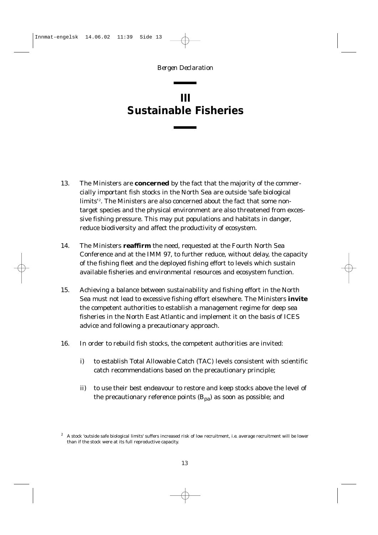# <span id="page-12-0"></span>**III Sustainable Fisheries**

- 13. The Ministers are **concerned** by the fact that the majority of the commercially important fish stocks in the North Sea are outside 'safe biological limits'<sup>2</sup>. The Ministers are also concerned about the fact that some nontarget species and the physical environment are also threatened from excessive fishing pressure. This may put populations and habitats in danger, reduce biodiversity and affect the productivity of ecosystem.
- 14. The Ministers **reaffirm** the need, requested at the Fourth North Sea Conference and at the IMM 97, to further reduce, without delay, the capacity of the fishing fleet and the deployed fishing effort to levels which sustain available fisheries and environmental resources and ecosystem function.
- 15. Achieving a balance between sustainability and fishing effort in the North Sea must not lead to excessive fishing effort elsewhere. The Ministers **invite** the competent authorities to establish a management regime for deep sea fisheries in the North East Atlantic and implement it on the basis of ICES advice and following a precautionary approach.
- 16. In order to rebuild fish stocks, the competent authorities are invited:
	- i) to establish Total Allowable Catch (TAC) levels consistent with scientific catch recommendations based on the precautionary principle;
	- ii) to use their best endeavour to restore and keep stocks above the level of the precautionary reference points  $(B_{pa})$  as soon as possible; and

<sup>2</sup> A stock 'outside safe biological limits' suffers increased risk of low recruitment, *i.e.* average recruitment will be lower than if the stock were at its full reproductive capacity.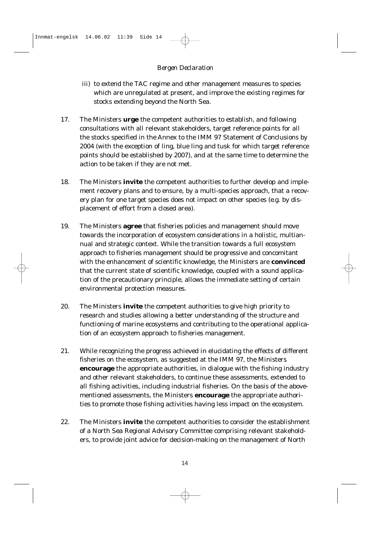- iii) to extend the TAC regime and other management measures to species which are unregulated at present, and improve the existing regimes for stocks extending beyond the North Sea.
- 17. The Ministers **urge** the competent authorities to establish, and following consultations with all relevant stakeholders, target reference points for all the stocks specified in the Annex to the IMM 97 Statement of Conclusions by 2004 (with the exception of ling, blue ling and tusk for which target reference points should be established by 2007), and at the same time to determine the action to be taken if they are not met.
- 18. The Ministers **invite** the competent authorities to further develop and implement recovery plans and to ensure, by a multi-species approach, that a recovery plan for one target species does not impact on other species (*e.g.* by displacement of effort from a closed area).
- 19. The Ministers **agree** that fisheries policies and management should move towards the incorporation of ecosystem considerations in a holistic, multiannual and strategic context. While the transition towards a full ecosystem approach to fisheries management should be progressive and concomitant with the enhancement of scientific knowledge, the Ministers are **convinced** that the current state of scientific knowledge, coupled with a sound application of the precautionary principle, allows the immediate setting of certain environmental protection measures.
- 20. The Ministers **invite** the competent authorities to give high priority to research and studies allowing a better understanding of the structure and functioning of marine ecosystems and contributing to the operational application of an ecosystem approach to fisheries management.
- 21. While recognizing the progress achieved in elucidating the effects of different fisheries on the ecosystem, as suggested at the IMM 97, the Ministers **encourage** the appropriate authorities, in dialogue with the fishing industry and other relevant stakeholders, to continue these assessments, extended to all fishing activities, including industrial fisheries. On the basis of the abovementioned assessments, the Ministers **encourage** the appropriate authorities to promote those fishing activities having less impact on the ecosystem.
- 22. The Ministers **invite** the competent authorities to consider the establishment of a North Sea Regional Advisory Committee comprising relevant stakeholders, to provide joint advice for decision-making on the management of North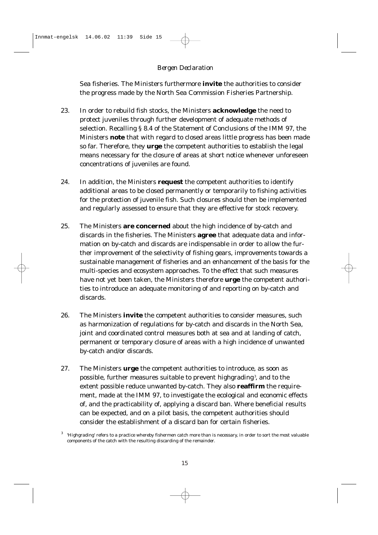Sea fisheries. The Ministers furthermore **invite** the authorities to consider the progress made by the North Sea Commission Fisheries Partnership.

- 23. In order to rebuild fish stocks, the Ministers **acknowledge** the need to protect juveniles through further development of adequate methods of selection. Recalling § 8.4 of the Statement of Conclusions of the IMM 97, the Ministers **note** that with regard to closed areas little progress has been made so far. Therefore, they **urge** the competent authorities to establish the legal means necessary for the closure of areas at short notice whenever unforeseen concentrations of juveniles are found.
- 24. In addition, the Ministers **request** the competent authorities to identify additional areas to be closed permanently or temporarily to fishing activities for the protection of juvenile fish. Such closures should then be implemented and regularly assessed to ensure that they are effective for stock recovery.
- 25. The Ministers **are concerned** about the high incidence of by-catch and discards in the fisheries. The Ministers **agree** that adequate data and information on by-catch and discards are indispensable in order to allow the further improvement of the selectivity of fishing gears, improvements towards a sustainable management of fisheries and an enhancement of the basis for the multi-species and ecosystem approaches. To the effect that such measures have not yet been taken, the Ministers therefore **urge** the competent authorities to introduce an adequate monitoring of and reporting on by-catch and discards.
- 26. The Ministers **invite** the competent authorities to consider measures, such as harmonization of regulations for by-catch and discards in the North Sea, joint and coordinated control measures both at sea and at landing of catch, permanent or temporary closure of areas with a high incidence of unwanted by-catch and/or discards.
- 27. The Ministers **urge** the competent authorities to introduce, as soon as possible, further measures suitable to prevent highgrading<sup>3</sup>, and to the extent possible reduce unwanted by-catch. They also **reaffirm** the requirement, made at the IMM 97, to investigate the ecological and economic effects of, and the practicability of, applying a discard ban. Where beneficial results can be expected, and on a pilot basis, the competent authorities should consider the establishment of a discard ban for certain fisheries.

 $3$  'Highgrading' refers to a practice whereby fishermen catch more than is necessary, in order to sort the most valuable components of the catch with the resulting discarding of the remainder.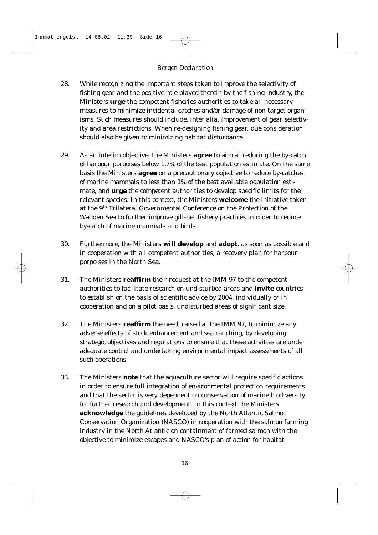- 28. While recognizing the important steps taken to improve the selectivity of fishing gear and the positive role played therein by the fishing industry, the Ministers **urge** the competent fisheries authorities to take all necessary measures to minimize incidental catches and/or damage of non-target organisms. Such measures should include, *inter alia*, improvement of gear selectivity and area restrictions. When re-designing fishing gear, due consideration should also be given to minimizing habitat disturbance.
- 29. As an interim objective, the Ministers **agree** to aim at reducing the by-catch of harbour porpoises below 1,7% of the best population estimate. On the same basis the Ministers **agree** on a precautionary objective to reduce by-catches of marine mammals to less than 1% of the best available population estimate, and **urge** the competent authorities to develop specific limits for the relevant species. In this context, the Ministers **welcome** the initiative taken at the 9th Trilateral Governmental Conference on the Protection of the Wadden Sea to further improve gill-net fishery practices in order to reduce by-catch of marine mammals and birds.
- 30. Furthermore, the Ministers **will develop** and **adopt**, as soon as possible and in cooperation with all competent authorities, a recovery plan for harbour porpoises in the North Sea.
- 31. The Ministers **reaffirm** their request at the IMM 97 to the competent authorities to facilitate research on undisturbed areas and **invite** countries to establish on the basis of scientific advice by 2004, individually or in cooperation and on a pilot basis, undisturbed areas of significant size.
- 32. The Ministers **reaffirm** the need, raised at the IMM 97, to minimize any adverse effects of stock enhancement and sea ranching, by developing strategic objectives and regulations to ensure that these activities are under adequate control and undertaking environmental impact assessments of all such operations.
- 33. The Ministers **note** that the aquaculture sector will require specific actions in order to ensure full integration of environmental protection requirements and that the sector is very dependent on conservation of marine biodiversity for further research and development. In this context the Ministers **acknowledge** the guidelines developed by the North Atlantic Salmon Conservation Organization (NASCO) in cooperation with the salmon farming industry in the North Atlantic on containment of farmed salmon with the objective to minimize escapes and NASCO's plan of action for habitat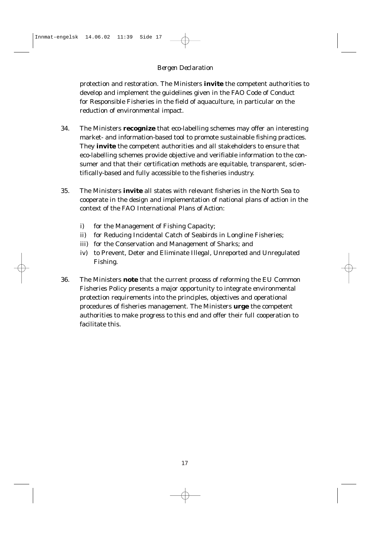protection and restoration. The Ministers **invite** the competent authorities to develop and implement the guidelines given in the FAO Code of Conduct for Responsible Fisheries in the field of aquaculture, in particular on the reduction of environmental impact.

- 34. The Ministers **recognize** that eco-labelling schemes may offer an interesting market- and information-based tool to promote sustainable fishing practices. They **invite** the competent authorities and all stakeholders to ensure that eco-labelling schemes provide objective and verifiable information to the consumer and that their certification methods are equitable, transparent, scientifically-based and fully accessible to the fisheries industry.
- 35. The Ministers **invite** all states with relevant fisheries in the North Sea to cooperate in the design and implementation of national plans of action in the context of the FAO International Plans of Action:
	- i) for the Management of Fishing Capacity;
	- ii) for Reducing Incidental Catch of Seabirds in Longline Fisheries;
	- iii) for the Conservation and Management of Sharks; and
	- iv) to Prevent, Deter and Eliminate Illegal, Unreported and Unregulated Fishing.
- 36. The Ministers **note** that the current process of reforming the EU Common Fisheries Policy presents a major opportunity to integrate environmental protection requirements into the principles, objectives and operational procedures of fisheries management. The Ministers **urge** the competent authorities to make progress to this end and offer their full cooperation to facilitate this.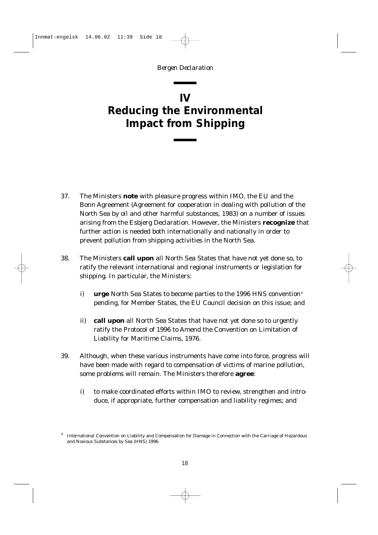# <span id="page-17-0"></span>**IV Reducing the Environmental Impact from Shipping**

- 37. The Ministers **note** with pleasure progress within IMO, the EU and the Bonn Agreement (Agreement for cooperation in dealing with pollution of the North Sea by oil and other harmful substances, 1983) on a number of issues arising from the Esbjerg Declaration. However, the Ministers **recognize** that further action is needed both internationally and nationally in order to prevent pollution from shipping activities in the North Sea.
- 38. The Ministers **call upon** all North Sea States that have not yet done so, to ratify the relevant international and regional instruments or legislation for shipping. In particular, the Ministers:
	- i) **urge** North Sea States to become parties to the 1996 HNS convention<sup>4</sup> pending, for Member States, the EU Council decision on this issue; and
	- ii) **call upon** all North Sea States that have not yet done so to urgently ratify the Protocol of 1996 to Amend the Convention on Limitation of Liability for Maritime Claims, 1976.
- 39. Although, when these various instruments have come into force, progress will have been made with regard to compensation of victims of marine pollution, some problems will remain. The Ministers therefore **agree**:
	- i) to make coordinated efforts within IMO to review, strengthen and introduce, if appropriate, further compensation and liability regimes; and

<sup>4</sup> International Convention on Liability and Compensation for Damage in Connection with the Carriage of Hazardous and Noxious Substances by Sea (HNS) 1996.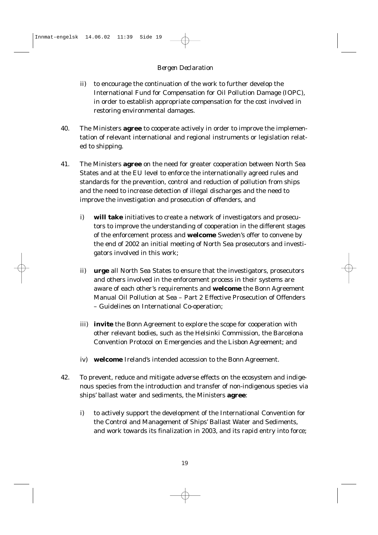- ii) to encourage the continuation of the work to further develop the International Fund for Compensation for Oil Pollution Damage (IOPC), in order to establish appropriate compensation for the cost involved in restoring environmental damages.
- 40. The Ministers **agree** to cooperate actively in order to improve the implementation of relevant international and regional instruments or legislation related to shipping.
- 41. The Ministers **agree** on the need for greater cooperation between North Sea States and at the EU level to enforce the internationally agreed rules and standards for the prevention, control and reduction of pollution from ships and the need to increase detection of illegal discharges and the need to improve the investigation and prosecution of offenders, and
	- i) **will take** initiatives to create a network of investigators and prosecutors to improve the understanding of cooperation in the different stages of the enforcement process and **welcome** Sweden's offer to convene by the end of 2002 an initial meeting of North Sea prosecutors and investigators involved in this work;
	- ii) **urge** all North Sea States to ensure that the investigators, prosecutors and others involved in the enforcement process in their systems are aware of each other's requirements and **welcome** the Bonn Agreement Manual Oil Pollution at Sea – Part 2 Effective Prosecution of Offenders – Guidelines on International Co-operation;
	- iii) **invite** the Bonn Agreement to explore the scope for cooperation with other relevant bodies, such as the Helsinki Commission, the Barcelona Convention Protocol on Emergencies and the Lisbon Agreement; and
	- iv) **welcome** Ireland's intended accession to the Bonn Agreement.
- 42. To prevent, reduce and mitigate adverse effects on the ecosystem and indigenous species from the introduction and transfer of non-indigenous species via ships' ballast water and sediments, the Ministers **agree**:
	- i) to actively support the development of the International Convention for the Control and Management of Ships' Ballast Water and Sediments, and work towards its finalization in 2003, and its rapid entry into force;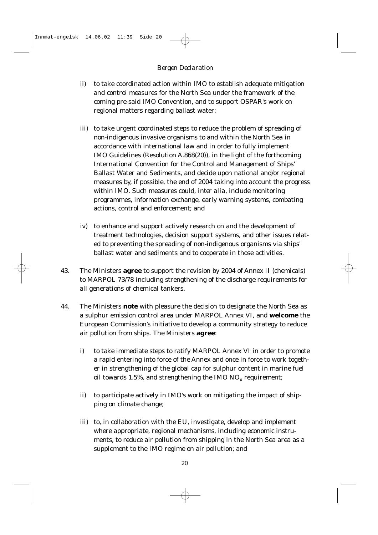- ii) to take coordinated action within IMO to establish adequate mitigation and control measures for the North Sea under the framework of the coming pre-said IMO Convention, and to support OSPAR's work on regional matters regarding ballast water;
- iii) to take urgent coordinated steps to reduce the problem of spreading of non-indigenous invasive organisms to and within the North Sea in accordance with international law and in order to fully implement IMO Guidelines (Resolution A.868(20)), in the light of the forthcoming International Convention for the Control and Management of Ships' Ballast Water and Sediments, and decide upon national and/or regional measures by, if possible, the end of 2004 taking into account the progress within IMO. Such measures could, *inter alia*, include monitoring programmes, information exchange, early warning systems, combating actions, control and enforcement; and
- iv) to enhance and support actively research on and the development of treatment technologies, decision support systems, and other issues related to preventing the spreading of non-indigenous organisms via ships' ballast water and sediments and to cooperate in those activities.
- 43. The Ministers **agree** to support the revision by 2004 of Annex II (chemicals) to MARPOL 73/78 including strengthening of the discharge requirements for all generations of chemical tankers.
- 44. The Ministers **note** with pleasure the decision to designate the North Sea as a sulphur emission control area under MARPOL Annex VI, and **welcome** the European Commission's initiative to develop a community strategy to reduce air pollution from ships. The Ministers **agree**:
	- i) to take immediate steps to ratify MARPOL Annex VI in order to promote a rapid entering into force of the Annex and once in force to work together in strengthening of the global cap for sulphur content in marine fuel oil towards 1.5%, and strengthening the IMO  $NO_x$  requirement;
	- ii) to participate actively in IMO's work on mitigating the impact of shipping on climate change;
	- iii) to, in collaboration with the EU, investigate, develop and implement where appropriate, regional mechanisms, including economic instruments, to reduce air pollution from shipping in the North Sea area as a supplement to the IMO regime on air pollution; and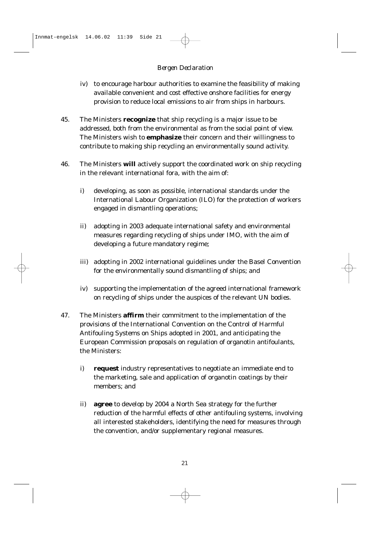- iv) to encourage harbour authorities to examine the feasibility of making available convenient and cost effective onshore facilities for energy provision to reduce local emissions to air from ships in harbours.
- 45. The Ministers **recognize** that ship recycling is a major issue to be addressed, both from the environmental as from the social point of view. The Ministers wish to **emphasize** their concern and their willingness to contribute to making ship recycling an environmentally sound activity.
- 46. The Ministers **will** actively support the coordinated work on ship recycling in the relevant international fora, with the aim of:
	- i) developing, as soon as possible, international standards under the International Labour Organization (ILO) for the protection of workers engaged in dismantling operations;
	- ii) adopting in 2003 adequate international safety and environmental measures regarding recycling of ships under IMO, with the aim of developing a future mandatory regime;
	- iii) adopting in 2002 international guidelines under the Basel Convention for the environmentally sound dismantling of ships; and
	- iv) supporting the implementation of the agreed international framework on recycling of ships under the auspices of the relevant UN bodies.
- 47. The Ministers **affirm** their commitment to the implementation of the provisions of the International Convention on the Control of Harmful Antifouling Systems on Ships adopted in 2001, and anticipating the European Commission proposals on regulation of organotin antifoulants, the Ministers:
	- i) **request** industry representatives to negotiate an immediate end to the marketing, sale and application of organotin coatings by their members; and
	- ii) **agree** to develop by 2004 a North Sea strategy for the further reduction of the harmful effects of other antifouling systems, involving all interested stakeholders, identifying the need for measures through the convention, and/or supplementary regional measures.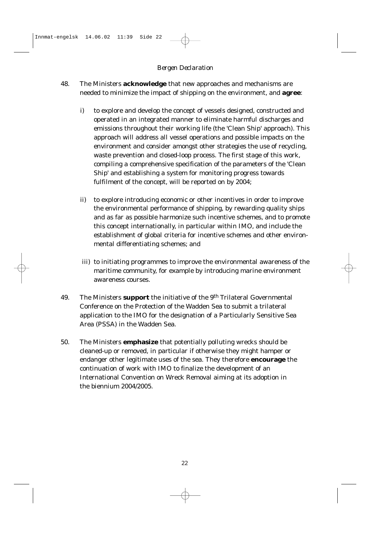- 48. The Ministers **acknowledge** that new approaches and mechanisms are needed to minimize the impact of shipping on the environment, and **agree**:
	- i) to explore and develop the concept of vessels designed, constructed and operated in an integrated manner to eliminate harmful discharges and emissions throughout their working life (the 'Clean Ship' approach). This approach will address all vessel operations and possible impacts on the environment and consider amongst other strategies the use of recycling, waste prevention and closed-loop process. The first stage of this work, compiling a comprehensive specification of the parameters of the 'Clean Ship' and establishing a system for monitoring progress towards fulfilment of the concept, will be reported on by 2004;
	- ii) to explore introducing economic or other incentives in order to improve the environmental performance of shipping, by rewarding quality ships and as far as possible harmonize such incentive schemes, and to promote this concept internationally, in particular within IMO, and include the establishment of global criteria for incentive schemes and other environmental differentiating schemes; and
	- iii) to initiating programmes to improve the environmental awareness of the maritime community, for example by introducing marine environment awareness courses.
- 49. The Ministers **support** the initiative of the 9th Trilateral Governmental Conference on the Protection of the Wadden Sea to submit a trilateral application to the IMO for the designation of a Particularly Sensitive Sea Area (PSSA) in the Wadden Sea.
- 50. The Ministers **emphasize** that potentially polluting wrecks should be cleaned-up or removed, in particular if otherwise they might hamper or endanger other legitimate uses of the sea. They therefore **encourage** the continuation of work with IMO to finalize the development of an International Convention on Wreck Removal aiming at its adoption in the biennium 2004/2005.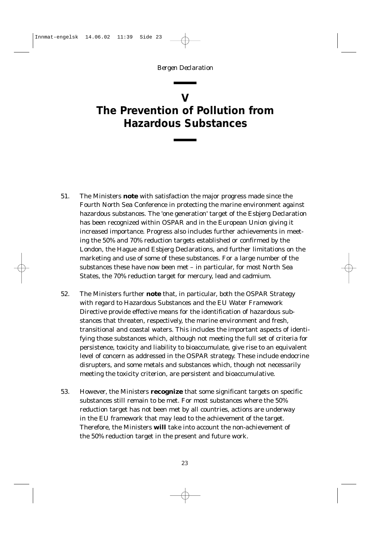### **V**

# <span id="page-22-0"></span>**The Prevention of Pollution from Hazardous Substances**

- 51. The Ministers **note** with satisfaction the major progress made since the Fourth North Sea Conference in protecting the marine environment against hazardous substances. The 'one generation' target of the Esbjerg Declaration has been recognized within OSPAR and in the European Union giving it increased importance. Progress also includes further achievements in meeting the 50% and 70% reduction targets established or confirmed by the London, the Hague and Esbjerg Declarations, and further limitations on the marketing and use of some of these substances. For a large number of the substances these have now been met – in particular, for most North Sea States, the 70% reduction target for mercury, lead and cadmium.
- 52. The Ministers further **note** that, in particular, both the OSPAR Strategy with regard to Hazardous Substances and the EU Water Framework Directive provide effective means for the identification of hazardous substances that threaten, respectively, the marine environment and fresh, transitional and coastal waters. This includes the important aspects of identifying those substances which, although not meeting the full set of criteria for persistence, toxicity and liability to bioaccumulate, give rise to an equivalent level of concern as addressed in the OSPAR strategy. These include endocrine disrupters, and some metals and substances which, though not necessarily meeting the toxicity criterion, are persistent and bioaccumulative.
- 53. However, the Ministers **recognize** that some significant targets on specific substances still remain to be met. For most substances where the 50% reduction target has not been met by all countries, actions are underway in the EU framework that may lead to the achievement of the target. Therefore, the Ministers **will** take into account the non-achievement of the 50% reduction target in the present and future work.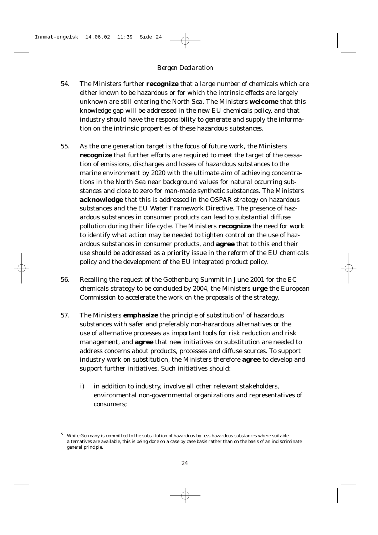- 54. The Ministers further **recognize** that a large number of chemicals which are either known to be hazardous or for which the intrinsic effects are largely unknown are still entering the North Sea. The Ministers **welcome** that this knowledge gap will be addressed in the new EU chemicals policy, and that industry should have the responsibility to generate and supply the information on the intrinsic properties of these hazardous substances.
- 55. As the one generation target is the focus of future work, the Ministers **recognize** that further efforts are required to meet the target of the cessation of emissions, discharges and losses of hazardous substances to the marine environment by 2020 with the ultimate aim of achieving concentrations in the North Sea near background values for natural occurring substances and close to zero for man-made synthetic substances. The Ministers **acknowledge** that this is addressed in the OSPAR strategy on hazardous substances and the EU Water Framework Directive. The presence of hazardous substances in consumer products can lead to substantial diffuse pollution during their life cycle. The Ministers **recognize** the need for work to identify what action may be needed to tighten control on the use of hazardous substances in consumer products, and **agree** that to this end their use should be addressed as a priority issue in the reform of the EU chemicals policy and the development of the EU integrated product policy.
- 56. Recalling the request of the Gothenburg Summit in June 2001 for the EC chemicals strategy to be concluded by 2004, the Ministers **urge** the European Commission to accelerate the work on the proposals of the strategy.
- 57. The Ministers **emphasize** the principle of substitution<sup>5</sup> of hazardous substances with safer and preferably non-hazardous alternatives or the use of alternative processes as important tools for risk reduction and risk management, and **agree** that new initiatives on substitution are needed to address concerns about products, processes and diffuse sources. To support industry work on substitution, the Ministers therefore **agree** to develop and support further initiatives. Such initiatives should:
	- i) in addition to industry, involve all other relevant stakeholders, environmental non-governmental organizations and representatives of consumers;

While Germany is committed to the substitution of hazardous by less hazardous substances where suitable alternatives are available, this is being done on a case by case basis rather than on the basis of an indiscriminate general principle.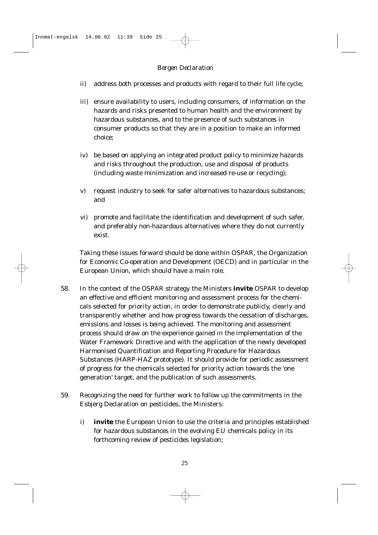- ii) address both processes and products with regard to their full life cycle;
- iii) ensure availability to users, including consumers, of information on the hazards and risks presented to human health and the environment by hazardous substances, and to the presence of such substances in consumer products so that they are in a position to make an informed choice;
- iv) be based on applying an integrated product policy to minimize hazards and risks throughout the production, use and disposal of products (including waste minimization and increased re-use or recycling);
- v) request industry to seek for safer alternatives to hazardous substances; and
- vi) promote and facilitate the identification and development of such safer, and preferably non-hazardous alternatives where they do not currently exist.

Taking these issues forward should be done within OSPAR, the Organization for Economic Co-operation and Development (OECD) and in particular in the European Union, which should have a main role.

- 58. In the context of the OSPAR strategy the Ministers **invite** OSPAR to develop an effective and efficient monitoring and assessment process for the chemicals selected for priority action, in order to demonstrate publicly, clearly and transparently whether and how progress towards the cessation of discharges, emissions and losses is being achieved. The monitoring and assessment process should draw on the experience gained in the implementation of the Water Framework Directive and with the application of the newly developed Harmonised Quantification and Reporting Procedure for Hazardous Substances (HARP-HAZ prototype). It should provide for periodic assessment of progress for the chemicals selected for priority action towards the 'one generation' target, and the publication of such assessments.
- 59. Recognizing the need for further work to follow up the commitments in the Esbjerg Declaration on pesticides, the Ministers:
	- i) **invite** the European Union to use the criteria and principles established for hazardous substances in the evolving EU chemicals policy in its forthcoming review of pesticides legislation;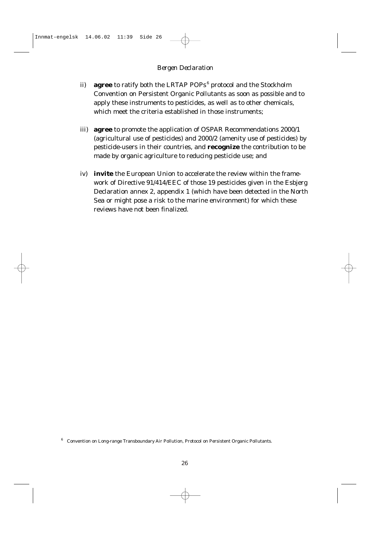- ii) **agree** to ratify both the LRTAP POPs<sup>6</sup> protocol and the Stockholm Convention on Persistent Organic Pollutants as soon as possible and to apply these instruments to pesticides, as well as to other chemicals, which meet the criteria established in those instruments;
- iii) **agree** to promote the application of OSPAR Recommendations 2000/1 (agricultural use of pesticides) and 2000/2 (amenity use of pesticides) by pesticide-users in their countries, and **recognize** the contribution to be made by organic agriculture to reducing pesticide use; and
- iv) **invite** the European Union to accelerate the review within the framework of Directive 91/414/EEC of those 19 pesticides given in the Esbjerg Declaration annex 2, appendix 1 (which have been detected in the North Sea or might pose a risk to the marine environment) for which these reviews have not been finalized.

<sup>6</sup> Convention on Long-range Transboundary Air Pollution, Protocol on Persistent Organic Pollutants.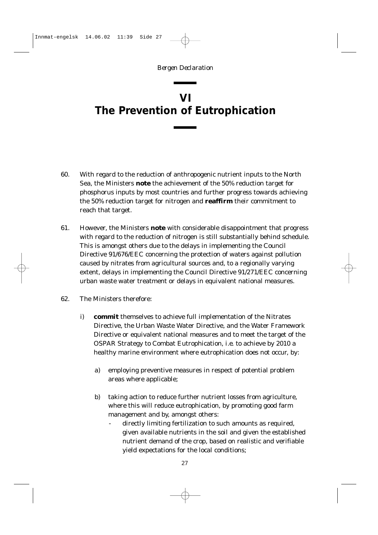# <span id="page-26-0"></span>**VI The Prevention of Eutrophication**

- 60. With regard to the reduction of anthropogenic nutrient inputs to the North Sea, the Ministers **note** the achievement of the 50% reduction target for phosphorus inputs by most countries and further progress towards achieving the 50% reduction target for nitrogen and **reaffirm** their commitment to reach that target.
- 61. However, the Ministers **note** with considerable disappointment that progress with regard to the reduction of nitrogen is still substantially behind schedule. This is amongst others due to the delays in implementing the Council Directive 91/676/EEC concerning the protection of waters against pollution caused by nitrates from agricultural sources and, to a regionally varying extent, delays in implementing the Council Directive 91/271/EEC concerning urban waste water treatment or delays in equivalent national measures.
- 62. The Ministers therefore:
	- i) **commit** themselves to achieve full implementation of the Nitrates Directive, the Urban Waste Water Directive, and the Water Framework Directive or equivalent national measures and to meet the target of the OSPAR Strategy to Combat Eutrophication, *i.e.* to achieve by 2010 a healthy marine environment where eutrophication does not occur, by:
		- a) employing preventive measures in respect of potential problem areas where applicable;
		- b) taking action to reduce further nutrient losses from agriculture, where this will reduce eutrophication, by promoting good farm management and by, amongst others:
			- directly limiting fertilization to such amounts as required, given available nutrients in the soil and given the established nutrient demand of the crop, based on realistic and verifiable yield expectations for the local conditions;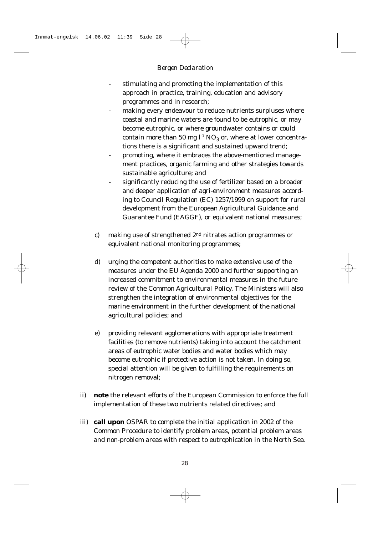- stimulating and promoting the implementation of this approach in practice, training, education and advisory programmes and in research;
- making every endeavour to reduce nutrients surpluses where coastal and marine waters are found to be eutrophic, or may become eutrophic, or where groundwater contains or could contain more than 50 mg  $l<sup>-1</sup> NO<sub>3</sub>$  or, where at lower concentrations there is a significant and sustained upward trend;
- promoting, where it embraces the above-mentioned management practices, organic farming and other strategies towards sustainable agriculture; and
- significantly reducing the use of fertilizer based on a broader and deeper application of agri-environment measures according to Council Regulation (EC) 1257/1999 on support for rural development from the European Agricultural Guidance and Guarantee Fund (EAGGF), or equivalent national measures;
- c) making use of strengthened 2nd nitrates action programmes or equivalent national monitoring programmes;
- d) urging the competent authorities to make extensive use of the measures under the EU Agenda 2000 and further supporting an increased commitment to environmental measures in the future review of the Common Agricultural Policy. The Ministers will also strengthen the integration of environmental objectives for the marine environment in the further development of the national agricultural policies; and
- e) providing relevant agglomerations with appropriate treatment facilities (to remove nutrients) taking into account the catchment areas of eutrophic water bodies and water bodies which may become eutrophic if protective action is not taken. In doing so, special attention will be given to fulfilling the requirements on nitrogen removal;
- ii) **note** the relevant efforts of the European Commission to enforce the full implementation of these two nutrients related directives; and
- iii) **call upon** OSPAR to complete the initial application in 2002 of the Common Procedure to identify problem areas, potential problem areas and non-problem areas with respect to eutrophication in the North Sea.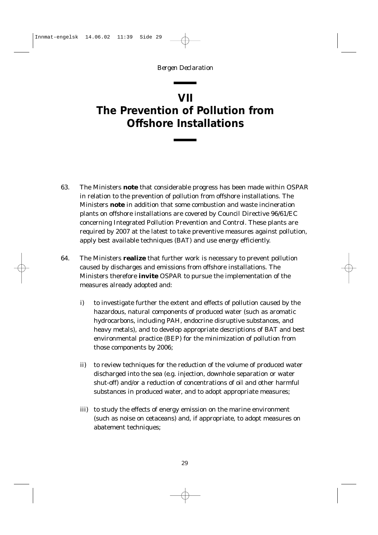### <span id="page-28-0"></span>**VII The Prevention of Pollution from Offshore Installations**

- 63. The Ministers **note** that considerable progress has been made within OSPAR in relation to the prevention of pollution from offshore installations. The Ministers **note** in addition that some combustion and waste incineration plants on offshore installations are covered by Council Directive 96/61/EC concerning Integrated Pollution Prevention and Control. These plants are required by 2007 at the latest to take preventive measures against pollution, apply best available techniques (BAT) and use energy efficiently.
- 64. The Ministers **realize** that further work is necessary to prevent pollution caused by discharges and emissions from offshore installations. The Ministers therefore **invite** OSPAR to pursue the implementation of the measures already adopted and:
	- i) to investigate further the extent and effects of pollution caused by the hazardous, natural components of produced water (such as aromatic hydrocarbons, including PAH, endocrine disruptive substances, and heavy metals), and to develop appropriate descriptions of BAT and best environmental practice (BEP) for the minimization of pollution from those components by 2006;
	- ii) to review techniques for the reduction of the volume of produced water discharged into the sea (*e.g.* injection, downhole separation or water shut-off) and/or a reduction of concentrations of oil and other harmful substances in produced water, and to adopt appropriate measures;
	- iii) to study the effects of energy emission on the marine environment (such as noise on cetaceans) and, if appropriate, to adopt measures on abatement techniques;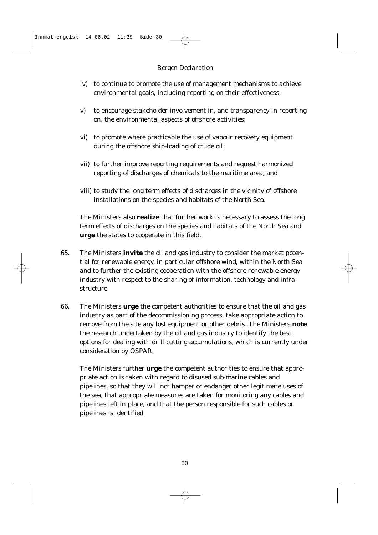- iv) to continue to promote the use of management mechanisms to achieve environmental goals, including reporting on their effectiveness;
- v) to encourage stakeholder involvement in, and transparency in reporting on, the environmental aspects of offshore activities;
- vi) to promote where practicable the use of vapour recovery equipment during the offshore ship-loading of crude oil;
- vii) to further improve reporting requirements and request harmonized reporting of discharges of chemicals to the maritime area; and
- viii) to study the long term effects of discharges in the vicinity of offshore installations on the species and habitats of the North Sea.

The Ministers also **realize** that further work is necessary to assess the long term effects of discharges on the species and habitats of the North Sea and **urge** the states to cooperate in this field.

- 65. The Ministers **invite** the oil and gas industry to consider the market potential for renewable energy, in particular offshore wind, within the North Sea and to further the existing cooperation with the offshore renewable energy industry with respect to the sharing of information, technology and infrastructure.
- 66. The Ministers **urge** the competent authorities to ensure that the oil and gas industry as part of the decommissioning process, take appropriate action to remove from the site any lost equipment or other debris. The Ministers **note** the research undertaken by the oil and gas industry to identify the best options for dealing with drill cutting accumulations, which is currently under consideration by OSPAR.

The Ministers further **urge** the competent authorities to ensure that appropriate action is taken with regard to disused sub-marine cables and pipelines, so that they will not hamper or endanger other legitimate uses of the sea, that appropriate measures are taken for monitoring any cables and pipelines left in place, and that the person responsible for such cables or pipelines is identified.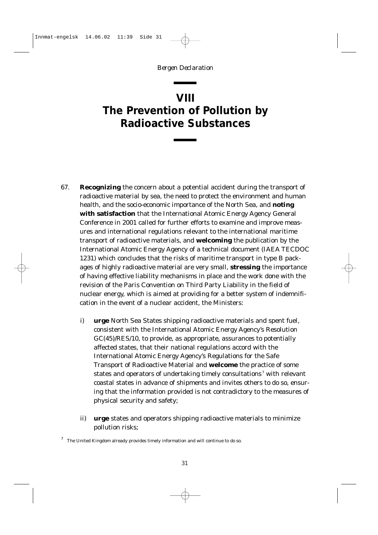### <span id="page-30-0"></span>**VIII The Prevention of Pollution by Radioactive Substances**

- 67. **Recognizing** the concern about a potential accident during the transport of radioactive material by sea, the need to protect the environment and human health, and the socio-economic importance of the North Sea, and **noting with satisfaction** that the International Atomic Energy Agency General Conference in 2001 called for further efforts to examine and improve measures and international regulations relevant to the international maritime transport of radioactive materials, and **welcoming** the publication by the International Atomic Energy Agency of a technical document (IAEA TECDOC 1231) which concludes that the risks of maritime transport in type B packages of highly radioactive material are very small, **stressing** the importance of having effective liability mechanisms in place and the work done with the revision of the Paris Convention on Third Party Liability in the field of nuclear energy, which is aimed at providing for a better system of indemnification in the event of a nuclear accident, the Ministers:
	- i) **urge** North Sea States shipping radioactive materials and spent fuel, consistent with the International Atomic Energy Agency's Resolution GC(45)/RES/10, to provide, as appropriate, assurances to potentially affected states, that their national regulations accord with the International Atomic Energy Agency's Regulations for the Safe Transport of Radioactive Material and **welcome** the practice of some states and operators of undertaking timely consultations<sup>7</sup> with relevant coastal states in advance of shipments and invites others to do so, ensuring that the information provided is not contradictory to the measures of physical security and safety;
	- ii) **urge** states and operators shipping radioactive materials to minimize pollution risks;

 $^7$  The United Kingdom already provides timely information and will continue to do so.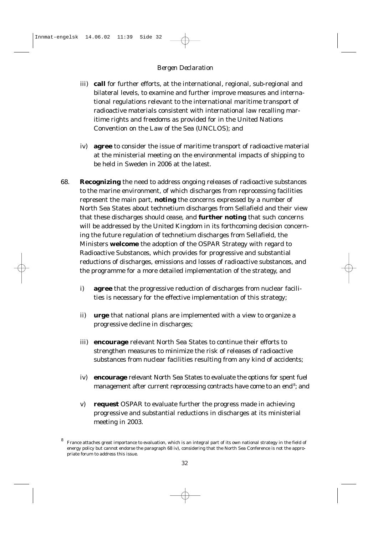- iii) **call** for further efforts, at the international, regional, sub-regional and bilateral levels, to examine and further improve measures and international regulations relevant to the international maritime transport of radioactive materials consistent with international law recalling maritime rights and freedoms as provided for in the United Nations Convention on the Law of the Sea (UNCLOS); and
- iv) **agree** to consider the issue of maritime transport of radioactive material at the ministerial meeting on the environmental impacts of shipping to be held in Sweden in 2006 at the latest.
- 68. **Recognizing** the need to address ongoing releases of radioactive substances to the marine environment, of which discharges from reprocessing facilities represent the main part, **noting** the concerns expressed by a number of North Sea States about technetium discharges from Sellafield and their view that these discharges should cease, and **further noting** that such concerns will be addressed by the United Kingdom in its forthcoming decision concerning the future regulation of technetium discharges from Sellafield, the Ministers **welcome** the adoption of the OSPAR Strategy with regard to Radioactive Substances, which provides for progressive and substantial reductions of discharges, emissions and losses of radioactive substances, and the programme for a more detailed implementation of the strategy, and
	- i) **agree** that the progressive reduction of discharges from nuclear facilities is necessary for the effective implementation of this strategy;
	- ii) **urge** that national plans are implemented with a view to organize a progressive decline in discharges;
	- iii) **encourage** relevant North Sea States to continue their efforts to strengthen measures to minimize the risk of releases of radioactive substances from nuclear facilities resulting from any kind of accidents;
	- iv) **encourage** relevant North Sea States to evaluate the options for spent fuel management after current reprocessing contracts have come to an end<sup>8</sup>; and
	- v) **request** OSPAR to evaluate further the progress made in achieving progressive and substantial reductions in discharges at its ministerial meeting in 2003.

<sup>8</sup> France attaches great importance to evaluation, which is an integral part of its own national strategy in the field of energy policy but cannot endorse the paragraph 68 iv), considering that the North Sea Conference is not the appropriate forum to address this issue.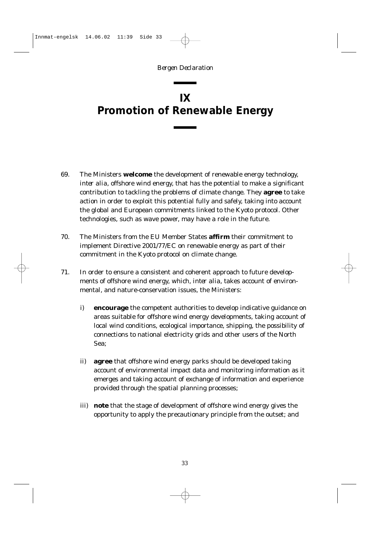## <span id="page-32-0"></span>**IX Promotion of Renewable Energy**

- 69. The Ministers **welcome** the development of renewable energy technology, *inter alia*, offshore wind energy, that has the potential to make a significant contribution to tackling the problems of climate change. They **agree** to take action in order to exploit this potential fully and safely, taking into account the global and European commitments linked to the Kyoto protocol. Other technologies, such as wave power, may have a role in the future.
- 70. The Ministers from the EU Member States **affirm** their commitment to implement Directive 2001/77/EC on renewable energy as part of their commitment in the Kyoto protocol on climate change.
- 71. In order to ensure a consistent and coherent approach to future developments of offshore wind energy, which, *inter alia*, takes account of environmental, and nature-conservation issues, the Ministers:
	- i) **encourage** the competent authorities to develop indicative guidance on areas suitable for offshore wind energy developments, taking account of local wind conditions, ecological importance, shipping, the possibility of connections to national electricity grids and other users of the North Sea;
	- ii) **agree** that offshore wind energy parks should be developed taking account of environmental impact data and monitoring information as it emerges and taking account of exchange of information and experience provided through the spatial planning processes;
	- iii) **note** that the stage of development of offshore wind energy gives the opportunity to apply the precautionary principle from the outset; and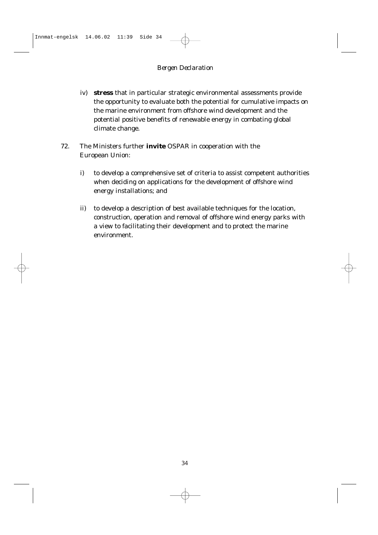- iv) **stress** that in particular strategic environmental assessments provide the opportunity to evaluate both the potential for cumulative impacts on the marine environment from offshore wind development and the potential positive benefits of renewable energy in combating global climate change.
- 72. The Ministers further **invite** OSPAR in cooperation with the European Union:
	- i) to develop a comprehensive set of criteria to assist competent authorities when deciding on applications for the development of offshore wind energy installations; and
	- ii) to develop a description of best available techniques for the location, construction, operation and removal of offshore wind energy parks with a view to facilitating their development and to protect the marine environment.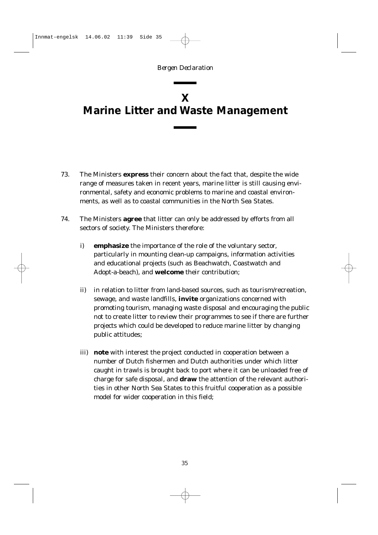# <span id="page-34-0"></span>**X Marine Litter and Waste Management**

- 73. The Ministers **express** their concern about the fact that, despite the wide range of measures taken in recent years, marine litter is still causing environmental, safety and economic problems to marine and coastal environments, as well as to coastal communities in the North Sea States.
- 74. The Ministers **agree** that litter can only be addressed by efforts from all sectors of society. The Ministers therefore:
	- i) **emphasize** the importance of the role of the voluntary sector, particularly in mounting clean-up campaigns, information activities and educational projects (such as Beachwatch, Coastwatch and Adopt-a-beach), and **welcome** their contribution;
	- ii) in relation to litter from land-based sources, such as tourism/recreation, sewage, and waste landfills, **invite** organizations concerned with promoting tourism, managing waste disposal and encouraging the public not to create litter to review their programmes to see if there are further projects which could be developed to reduce marine litter by changing public attitudes;
	- iii) **note** with interest the project conducted in cooperation between a number of Dutch fishermen and Dutch authorities under which litter caught in trawls is brought back to port where it can be unloaded free of charge for safe disposal, and **draw** the attention of the relevant authorities in other North Sea States to this fruitful cooperation as a possible model for wider cooperation in this field;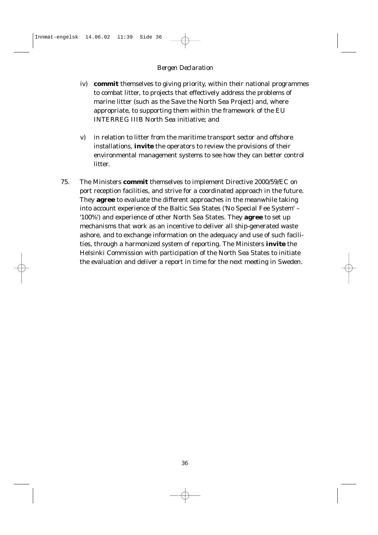- iv) **commit** themselves to giving priority, within their national programmes to combat litter, to projects that effectively address the problems of marine litter (such as the Save the North Sea Project) and, where appropriate, to supporting them within the framework of the EU INTERREG IIIB North Sea initiative; and
- v) in relation to litter from the maritime transport sector and offshore installations, **invite** the operators to review the provisions of their environmental management systems to see how they can better control litter.
- 75. The Ministers **commit** themselves to implement Directive 2000/59/EC on port reception facilities, and strive for a coordinated approach in the future. They **agree** to evaluate the different approaches in the meanwhile taking into account experience of the Baltic Sea States ('No Special Fee System' – '100%') and experience of other North Sea States. They **agree** to set up mechanisms that work as an incentive to deliver all ship-generated waste ashore, and to exchange information on the adequacy and use of such facilities, through a harmonized system of reporting. The Ministers **invite** the Helsinki Commission with participation of the North Sea States to initiate the evaluation and deliver a report in time for the next meeting in Sweden.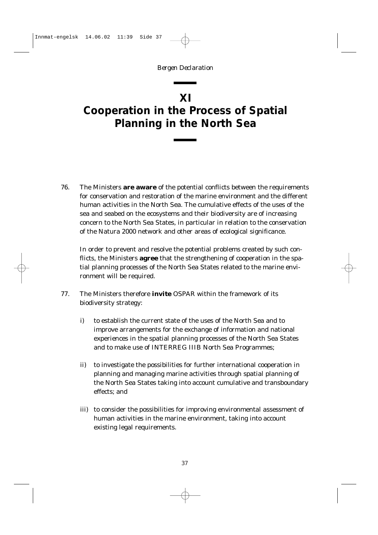### **XI**

# <span id="page-36-0"></span>**Cooperation in the Process of Spatial Planning in the North Sea**

76. The Ministers **are aware** of the potential conflicts between the requirements for conservation and restoration of the marine environment and the different human activities in the North Sea. The cumulative effects of the uses of the sea and seabed on the ecosystems and their biodiversity are of increasing concern to the North Sea States, in particular in relation to the conservation of the Natura 2000 network and other areas of ecological significance.

In order to prevent and resolve the potential problems created by such conflicts, the Ministers **agree** that the strengthening of cooperation in the spatial planning processes of the North Sea States related to the marine environment will be required.

- 77. The Ministers therefore **invite** OSPAR within the framework of its biodiversity strategy:
	- i) to establish the current state of the uses of the North Sea and to improve arrangements for the exchange of information and national experiences in the spatial planning processes of the North Sea States and to make use of INTERREG IIIB North Sea Programmes;
	- ii) to investigate the possibilities for further international cooperation in planning and managing marine activities through spatial planning of the North Sea States taking into account cumulative and transboundary effects; and
	- iii) to consider the possibilities for improving environmental assessment of human activities in the marine environment, taking into account existing legal requirements.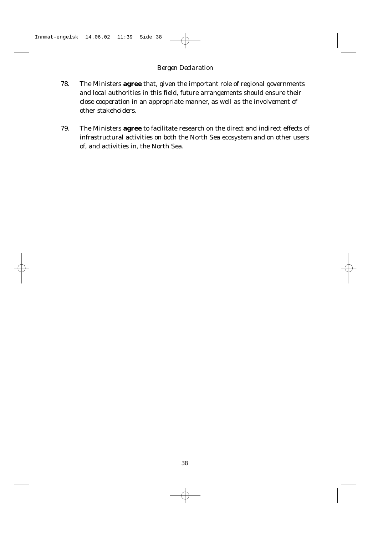- 78. The Ministers **agree** that, given the important role of regional governments and local authorities in this field, future arrangements should ensure their close cooperation in an appropriate manner, as well as the involvement of other stakeholders.
- 79. The Ministers **agree** to facilitate research on the direct and indirect effects of infrastructural activities on both the North Sea ecosystem and on other users of, and activities in, the North Sea.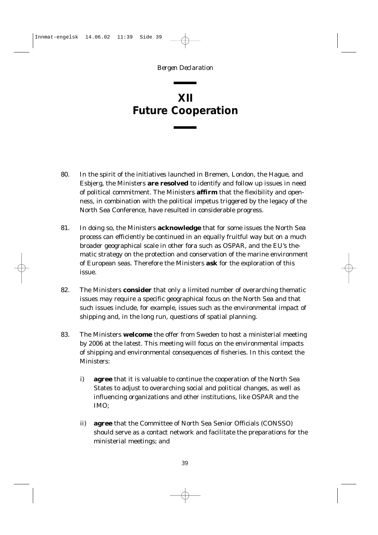### <span id="page-38-0"></span>**XII Future Cooperation**

- 80. In the spirit of the initiatives launched in Bremen, London, the Hague, and Esbjerg, the Ministers **are resolved** to identify and follow up issues in need of political commitment. The Ministers **affirm** that the flexibility and openness, in combination with the political impetus triggered by the legacy of the North Sea Conference, have resulted in considerable progress.
- 81. In doing so, the Ministers **acknowledge** that for some issues the North Sea process can efficiently be continued in an equally fruitful way but on a much broader geographical scale in other fora such as OSPAR, and the EU's thematic strategy on the protection and conservation of the marine environment of European seas. Therefore the Ministers **ask** for the exploration of this issue.
- 82. The Ministers **consider** that only a limited number of overarching thematic issues may require a specific geographical focus on the North Sea and that such issues include, for example, issues such as the environmental impact of shipping and, in the long run, questions of spatial planning.
- 83. The Ministers **welcome** the offer from Sweden to host a ministerial meeting by 2006 at the latest. This meeting will focus on the environmental impacts of shipping and environmental consequences of fisheries. In this context the Ministers:
	- i) **agree** that it is valuable to continue the cooperation of the North Sea States to adjust to overarching social and political changes, as well as influencing organizations and other institutions, like OSPAR and the IMO;
	- ii) **agree** that the Committee of North Sea Senior Officials (CONSSO) should serve as a contact network and facilitate the preparations for the ministerial meetings; and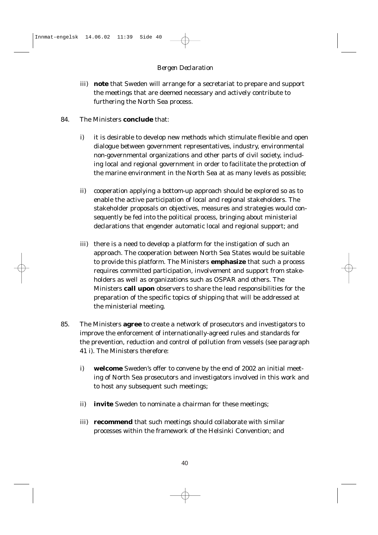- iii) **note** that Sweden will arrange for a secretariat to prepare and support the meetings that are deemed necessary and actively contribute to furthering the North Sea process.
- 84. The Ministers **conclude** that:
	- i) it is desirable to develop new methods which stimulate flexible and open dialogue between government representatives, industry, environmental non-governmental organizations and other parts of civil society, including local and regional government in order to facilitate the protection of the marine environment in the North Sea at as many levels as possible;
	- ii) cooperation applying a bottom-up approach should be explored so as to enable the active participation of local and regional stakeholders. The stakeholder proposals on objectives, measures and strategies would consequently be fed into the political process, bringing about ministerial declarations that engender automatic local and regional support; and
	- iii) there is a need to develop a platform for the instigation of such an approach. The cooperation between North Sea States would be suitable to provide this platform. The Ministers **emphasize** that such a process requires committed participation, involvement and support from stakeholders as well as organizations such as OSPAR and others. The Ministers **call upon** observers to share the lead responsibilities for the preparation of the specific topics of shipping that will be addressed at the ministerial meeting.
- 85. The Ministers **agree** to create a network of prosecutors and investigators to improve the enforcement of internationally-agreed rules and standards for the prevention, reduction and control of pollution from vessels (see paragraph 41 i). The Ministers therefore:
	- i) **welcome** Sweden's offer to convene by the end of 2002 an initial meeting of North Sea prosecutors and investigators involved in this work and to host any subsequent such meetings;
	- ii) **invite** Sweden to nominate a chairman for these meetings;
	- iii) **recommend** that such meetings should collaborate with similar processes within the framework of the Helsinki Convention; and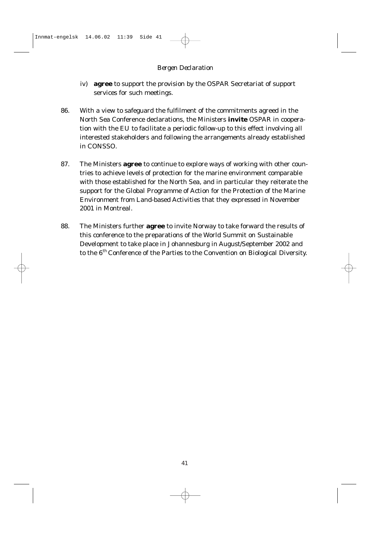- iv) **agree** to support the provision by the OSPAR Secretariat of support services for such meetings.
- 86. With a view to safeguard the fulfilment of the commitments agreed in the North Sea Conference declarations, the Ministers **invite** OSPAR in cooperation with the EU to facilitate a periodic follow-up to this effect involving all interested stakeholders and following the arrangements already established in CONSSO.
- 87. The Ministers **agree** to continue to explore ways of working with other countries to achieve levels of protection for the marine environment comparable with those established for the North Sea, and in particular they reiterate the support for the Global Programme of Action for the Protection of the Marine Environment from Land-based Activities that they expressed in November 2001 in Montreal.
- 88. The Ministers further **agree** to invite Norway to take forward the results of this conference to the preparations of the World Summit on Sustainable Development to take place in Johannesburg in August/September 2002 and to the 6<sup>th</sup> Conference of the Parties to the Convention on Biological Diversity.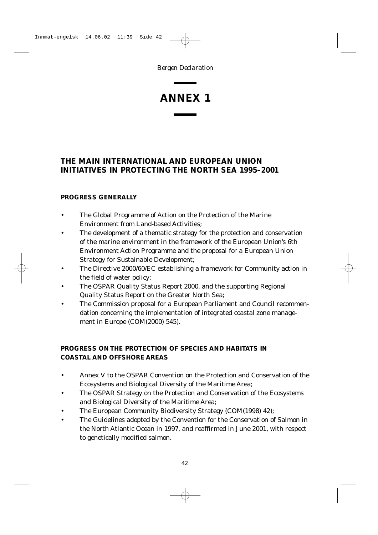### **ANNEX 1**

### **THE MAIN INTERNATIONAL AND EUROPEAN UNION INITIATIVES IN PROTECTING THE NORTH SEA 1995–2001**

#### **PROGRESS GENERALLY**

- The Global Programme of Action on the Protection of the Marine Environment from Land-based Activities;
- The development of a thematic strategy for the protection and conservation of the marine environment in the framework of the European Union's 6th Environment Action Programme and the proposal for a European Union Strategy for Sustainable Development;
- The Directive 2000/60/EC establishing a framework for Community action in the field of water policy;
- The OSPAR Quality Status Report 2000, and the supporting Regional Quality Status Report on the Greater North Sea;
- The Commission proposal for a European Parliament and Council recommendation concerning the implementation of integrated coastal zone management in Europe (COM(2000) 545).

#### **PROGRESS ON THE PROTECTION OF SPECIES AND HABITATS IN COASTAL AND OFFSHORE AREAS**

- Annex V to the OSPAR Convention on the Protection and Conservation of the Ecosystems and Biological Diversity of the Maritime Area;
- The OSPAR Strategy on the Protection and Conservation of the Ecosystems and Biological Diversity of the Maritime Area;
- The European Community Biodiversity Strategy (COM(1998) 42);
- The Guidelines adopted by the Convention for the Conservation of Salmon in the North Atlantic Ocean in 1997, and reaffirmed in June 2001, with respect to genetically modified salmon.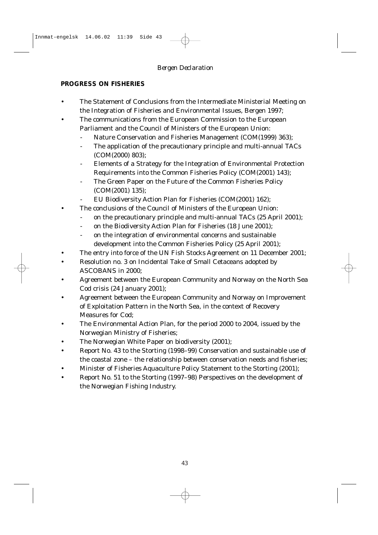#### **PROGRESS ON FISHERIES**

- The Statement of Conclusions from the Intermediate Ministerial Meeting on the Integration of Fisheries and Environmental Issues, Bergen 1997;
- The communications from the European Commission to the European Parliament and the Council of Ministers of the European Union:
	- Nature Conservation and Fisheries Management (COM(1999) 363);
	- The application of the precautionary principle and multi-annual TACs (COM(2000) 803);
	- Elements of a Strategy for the Integration of Environmental Protection Requirements into the Common Fisheries Policy (COM(2001) 143);
	- The Green Paper on the Future of the Common Fisheries Policy (COM(2001) 135);
	- EU Biodiversity Action Plan for Fisheries (COM(2001) 162);
- The conclusions of the Council of Ministers of the European Union:
	- on the precautionary principle and multi-annual TACs (25 April 2001);
	- on the Biodiversity Action Plan for Fisheries (18 June 2001);
	- on the integration of environmental concerns and sustainable development into the Common Fisheries Policy (25 April 2001);
- The entry into force of the UN Fish Stocks Agreement on 11 December 2001;
- Resolution no. 3 on Incidental Take of Small Cetaceans adopted by ASCOBANS in 2000;
- Agreement between the European Community and Norway on the North Sea Cod crisis (24 January 2001);
- Agreement between the European Community and Norway on Improvement of Exploitation Pattern in the North Sea, in the context of Recovery Measures for Cod;
- The Environmental Action Plan, for the period 2000 to 2004, issued by the Norwegian Ministry of Fisheries;
- The Norwegian White Paper on biodiversity (2001);
- Report No. 43 to the Storting (1998–99) Conservation and sustainable use of the coastal zone – the relationship between conservation needs and fisheries;
- Minister of Fisheries Aquaculture Policy Statement to the Storting (2001);
- Report No. 51 to the Storting (1997–98) Perspectives on the development of the Norwegian Fishing Industry.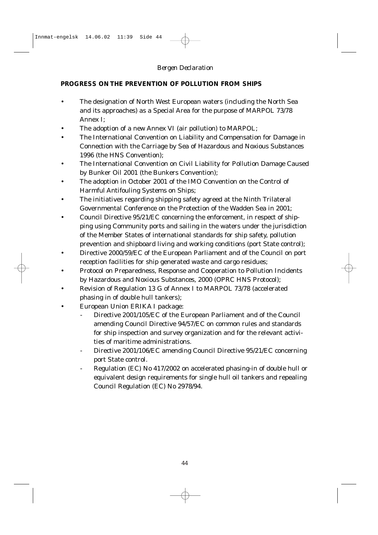#### **PROGRESS ON THE PREVENTION OF POLLUTION FROM SHIPS**

- The designation of North West European waters (including the North Sea and its approaches) as a Special Area for the purpose of MARPOL 73/78 Annex I;
- The adoption of a new Annex VI (air pollution) to MARPOL;
- The International Convention on Liability and Compensation for Damage in Connection with the Carriage by Sea of Hazardous and Noxious Substances 1996 (the HNS Convention);
- The International Convention on Civil Liability for Pollution Damage Caused by Bunker Oil 2001 (the Bunkers Convention);
- The adoption in October 2001 of the IMO Convention on the Control of Harmful Antifouling Systems on Ships;
- The initiatives regarding shipping safety agreed at the Ninth Trilateral Governmental Conference on the Protection of the Wadden Sea in 2001;
- Council Directive 95/21/EC concerning the enforcement, in respect of shipping using Community ports and sailing in the waters under the jurisdiction of the Member States of international standards for ship safety, pollution prevention and shipboard living and working conditions (port State control);
- Directive 2000/59/EC of the European Parliament and of the Council on port reception facilities for ship generated waste and cargo residues;
- Protocol on Preparedness, Response and Cooperation to Pollution Incidents by Hazardous and Noxious Substances, 2000 (OPRC HNS Protocol);
- Revision of Regulation 13 G of Annex I to MARPOL 73/78 (accelerated phasing in of double hull tankers);
- European Union ERIKA I package:
	- Directive 2001/105/EC of the European Parliament and of the Council amending Council Directive 94/57/EC on common rules and standards for ship inspection and survey organization and for the relevant activities of maritime administrations.
	- Directive 2001/106/EC amending Council Directive 95/21/EC concerning port State control.
	- Regulation (EC) No 417/2002 on accelerated phasing-in of double hull or equivalent design requirements for single hull oil tankers and repealing Council Regulation (EC) No 2978/94.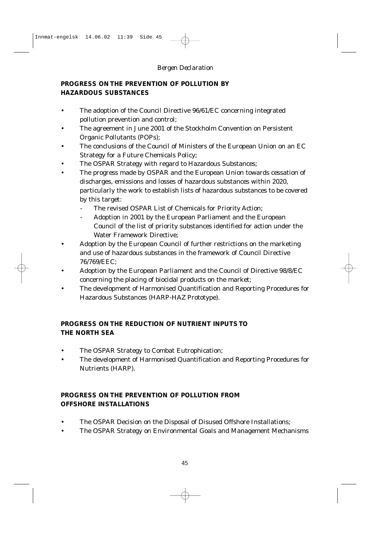#### **PROGRESS ON THE PREVENTION OF POLLUTION BY HAZARDOUS SUBSTANCES**

- The adoption of the Council Directive 96/61/EC concerning integrated pollution prevention and control;
- The agreement in June 2001 of the Stockholm Convention on Persistent Organic Pollutants (POPs);
- The conclusions of the Council of Ministers of the European Union on an EC Strategy for a Future Chemicals Policy;
- The OSPAR Strategy with regard to Hazardous Substances;
- The progress made by OSPAR and the European Union towards cessation of discharges, emissions and losses of hazardous substances within 2020, particularly the work to establish lists of hazardous substances to be covered by this target:
	- The revised OSPAR List of Chemicals for Priority Action;
	- Adoption in 2001 by the European Parliament and the European Council of the list of priority substances identified for action under the Water Framework Directive;
- Adoption by the European Council of further restrictions on the marketing and use of hazardous substances in the framework of Council Directive 76/769/EEC;
- Adoption by the European Parliament and the Council of Directive 98/8/EC concerning the placing of biocidal products on the market;
- The development of Harmonised Quantification and Reporting Procedures for Hazardous Substances (HARP-HAZ Prototype).

#### **PROGRESS ON THE REDUCTION OF NUTRIENT INPUTS TO THE NORTH SEA**

- The OSPAR Strategy to Combat Eutrophication;
- The development of Harmonised Quantification and Reporting Procedures for Nutrients (HARP).

#### **PROGRESS ON THE PREVENTION OF POLLUTION FROM OFFSHORE INSTALLATIONS**

- The OSPAR Decision on the Disposal of Disused Offshore Installations;
- The OSPAR Strategy on Environmental Goals and Management Mechanisms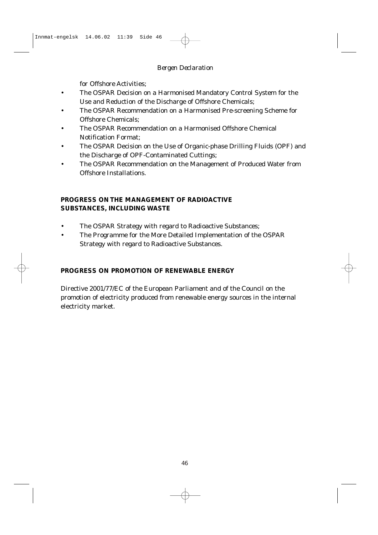for Offshore Activities;

- The OSPAR Decision on a Harmonised Mandatory Control System for the Use and Reduction of the Discharge of Offshore Chemicals;
- The OSPAR Recommendation on a Harmonised Pre-screening Scheme for Offshore Chemicals;
- The OSPAR Recommendation on a Harmonised Offshore Chemical Notification Format;
- The OSPAR Decision on the Use of Organic-phase Drilling Fluids (OPF) and the Discharge of OPF-Contaminated Cuttings;
- The OSPAR Recommendation on the Management of Produced Water from Offshore Installations.

#### **PROGRESS ON THE MANAGEMENT OF RADIOACTIVE SUBSTANCES, INCLUDING WASTE**

- The OSPAR Strategy with regard to Radioactive Substances;
- The Programme for the More Detailed Implementation of the OSPAR Strategy with regard to Radioactive Substances.

### **PROGRESS ON PROMOTION OF RENEWABLE ENERGY**

Directive 2001/77/EC of the European Parliament and of the Council on the promotion of electricity produced from renewable energy sources in the internal electricity market.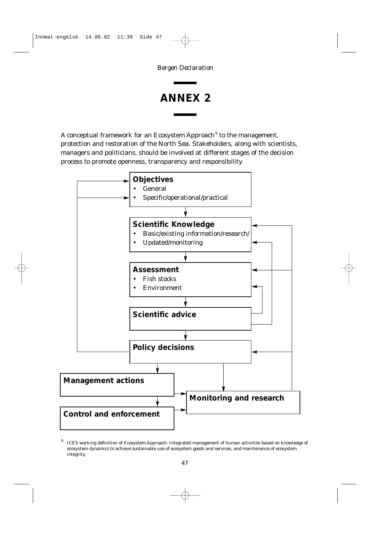### **ANNEX 2**

A conceptual framework for an Ecosystem Approach<sup>9</sup> to the management, protection and restoration of the North Sea. Stakeholders, along with scientists, managers and politicians, should be involved at different stages of the decision process to promote openness, transparency and responsibility



<sup>9</sup> ICES working definition of Ecosystem Approach: Integrated management of human activities based on knowledge of ecosystem dynamics to achieve sustainable use of ecosystem goods and services, and maintenance of ecosystem integrity.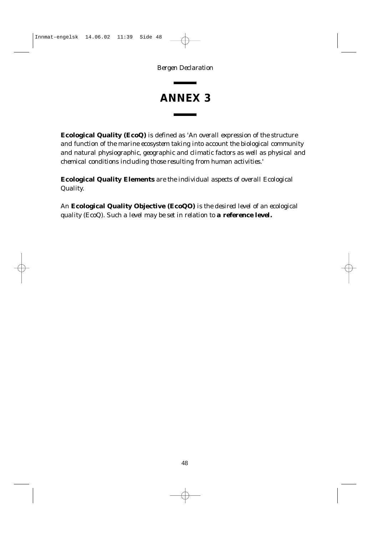### **ANNEX 3**

**Ecological Quality (EcoQ)** is defined as *'An overall expression of the structure and function of the marine ecosystem taking into account the biological community and natural physiographic, geographic and climatic factors as well as physical and chemical conditions including those resulting from human activities.'*

**Ecological Quality Elements** *are the individual aspects of overall Ecological Quality.*

*An* **Ecological Quality Objective (EcoQO)** *is the desired level of an ecological quality (EcoQ). Such a level may be set in relation to a reference level.*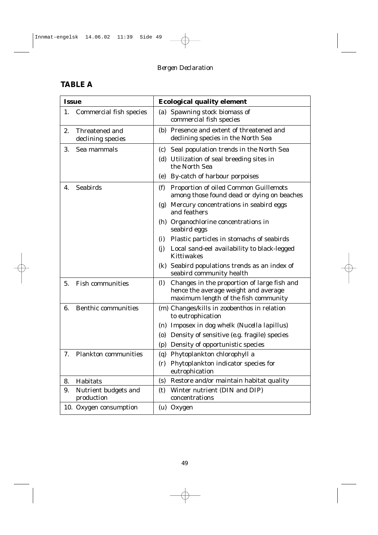### **TABLE A**

| <b>Issue</b> |                                     | <b>Ecological quality element</b>                                                                                                                         |  |
|--------------|-------------------------------------|-----------------------------------------------------------------------------------------------------------------------------------------------------------|--|
| 1.           | <b>Commercial fish species</b>      | (a) Spawning stock biomass of<br>commercial fish species                                                                                                  |  |
| 2.           | Threatened and<br>declining species | (b) Presence and extent of threatened and<br>declining species in the North Sea                                                                           |  |
| 3.           | Sea mammals                         | (c) Seal population trends in the North Sea<br>(d) Utilization of seal breeding sites in<br>the North Sea<br>By-catch of harbour porpoises<br>(e)         |  |
| 4.           | <b>Seabirds</b>                     | (f)<br>Proportion of oiled Common Guillemots<br>among those found dead or dying on beaches<br>(g) Mercury concentrations in seabird eggs                  |  |
|              |                                     | and feathers<br>(h) Organochlorine concentrations in<br>seabird eggs                                                                                      |  |
|              |                                     | Plastic particles in stomachs of seabirds<br>(i)                                                                                                          |  |
|              |                                     | (i)<br>Local sand-eel availability to black-legged<br><b>Kittiwakes</b>                                                                                   |  |
|              |                                     | (k) Seabird populations trends as an index of<br>seabird community health                                                                                 |  |
| 5.           | <b>Fish communities</b>             | Changes in the proportion of large fish and<br>$\left( \mathbf{l}\right)$<br>hence the average weight and average<br>maximum length of the fish community |  |
| 6.           | <b>Benthic communities</b>          | (m) Changes/kills in zoobenthos in relation<br>to eutrophication                                                                                          |  |
|              |                                     | (n) Imposex in dog whelk (Nucella lapillus)                                                                                                               |  |
|              |                                     | Density of sensitive (e.g. fragile) species<br>(0)                                                                                                        |  |
|              |                                     | Density of opportunistic species<br>(p)                                                                                                                   |  |
| 7.           | <b>Plankton communities</b>         | Phytoplankton chlorophyll a<br>(q)                                                                                                                        |  |
|              |                                     | Phytoplankton indicator species for<br>(r)<br>eutrophication                                                                                              |  |
| 8.           | <b>Habitats</b>                     | Restore and/or maintain habitat quality<br>(s)                                                                                                            |  |
| 9.           | Nutrient budgets and<br>production  | Winter nutrient (DIN and DIP)<br>(t)<br>concentrations                                                                                                    |  |
|              | 10. Oxygen consumption              | (u) Oxygen                                                                                                                                                |  |